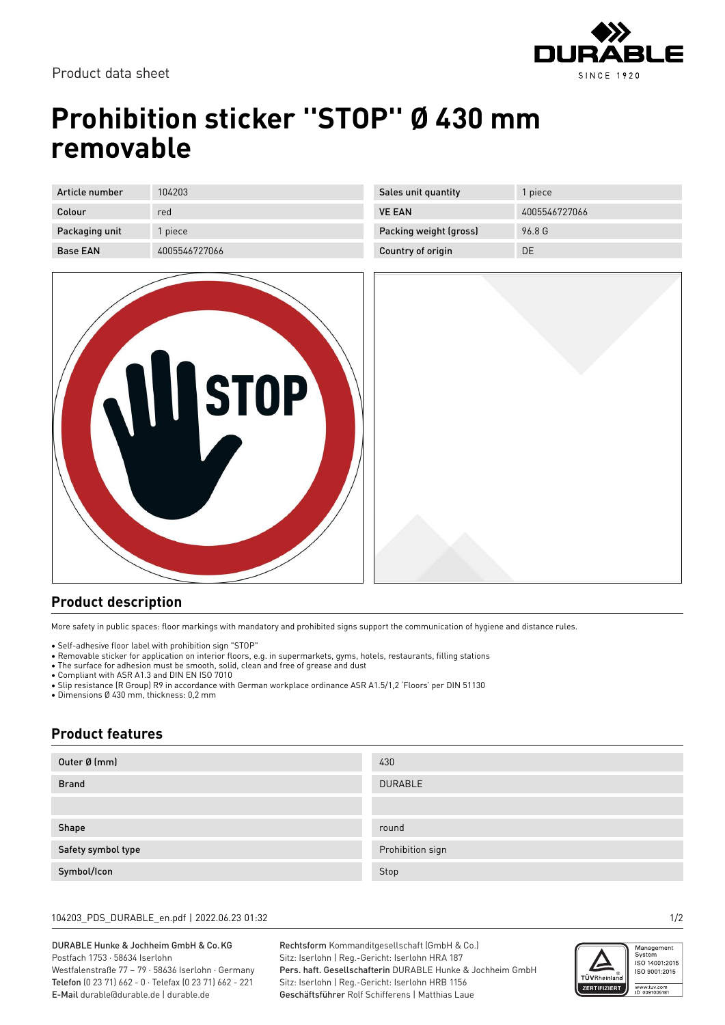

# **Prohibition sticker ''STOP'' Ø 430 mm removable**

| Article number  | 104203        |
|-----------------|---------------|
|                 |               |
| Colour          | red           |
|                 |               |
| Packaging unit  | 1 piece       |
|                 |               |
| <b>Base EAN</b> | 4005546727066 |

| <b>NISTOP</b> |
|---------------|
|               |
|               |

| Sales unit quantity    | 1 piece       |
|------------------------|---------------|
| <b>VE FAN</b>          | 4005546727066 |
| Packing weight (gross) | 96.8 G        |
| Country of origin      | DΕ            |



## **Product description**

More safety in public spaces: floor markings with mandatory and prohibited signs support the communication of hygiene and distance rules.

• Self-adhesive floor label with prohibition sign "STOP"

- Removable sticker for application on interior floors, e.g. in supermarkets, gyms, hotels, restaurants, filling stations
- The surface for adhesion must be smooth, solid, clean and free of grease and dust

• Compliant with ASR A1.3 and DIN EN ISO 7010

• Slip resistance (R Group) R9 in accordance with German workplace ordinance ASR A1.5/1,2 'Floors' per DIN 51130

• Dimensions Ø 430 mm, thickness: 0,2 mm

## **Product features**

| Outer Ø (mm)       | 430              |
|--------------------|------------------|
| <b>Brand</b>       | <b>DURABLE</b>   |
|                    |                  |
| Shape              | round            |
| Safety symbol type | Prohibition sign |
| Symbol/Icon        | Stop             |

#### 104203\_PDS\_DURABLE\_en.pdf | 2022.06.23 01:32 1/2

#### DURABLE Hunke & Jochheim GmbH & Co.KG Postfach 1753 · 58634 Iserlohn

Westfalenstraße 77 – 79 · 58636 Iserlohn · Germany Telefon (0 23 71) 662 - 0 · Telefax (0 23 71) 662 - 221 E-Mail durable@durable.de | durable.de

Rechtsform Kommanditgesellschaft (GmbH & Co.) Sitz: Iserlohn | Reg.-Gericht: Iserlohn HRA 187 Pers. haft. Gesellschafterin DURABLE Hunke & Jochheim GmbH Sitz: Iserlohn | Reg.-Gericht: Iserlohn HRB 1156 Geschäftsführer Rolf Schifferens | Matthias Laue